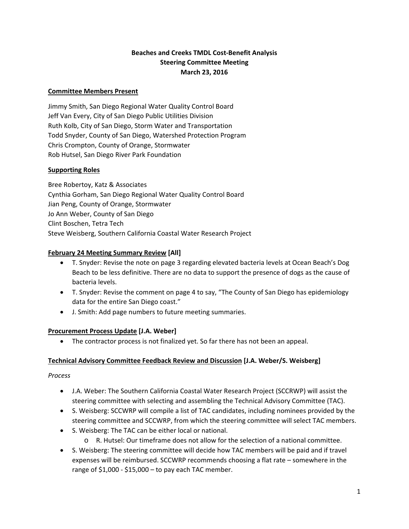# **Beaches and Creeks TMDL Cost‐Benefit Analysis Steering Committee Meeting March 23, 2016**

### **Committee Members Present**

Jimmy Smith, San Diego Regional Water Quality Control Board Jeff Van Every, City of San Diego Public Utilities Division Ruth Kolb, City of San Diego, Storm Water and Transportation Todd Snyder, County of San Diego, Watershed Protection Program Chris Crompton, County of Orange, Stormwater Rob Hutsel, San Diego River Park Foundation

#### **Supporting Roles**

Bree Robertoy, Katz & Associates Cynthia Gorham, San Diego Regional Water Quality Control Board Jian Peng, County of Orange, Stormwater Jo Ann Weber, County of San Diego Clint Boschen, Tetra Tech Steve Weisberg, Southern California Coastal Water Research Project

#### **February 24 Meeting Summary Review [All]**

- T. Snyder: Revise the note on page 3 regarding elevated bacteria levels at Ocean Beach's Dog Beach to be less definitive. There are no data to support the presence of dogs as the cause of bacteria levels.
- T. Snyder: Revise the comment on page 4 to say, "The County of San Diego has epidemiology data for the entire San Diego coast."
- J. Smith: Add page numbers to future meeting summaries.

#### **Procurement Process Update [J.A. Weber]**

• The contractor process is not finalized yet. So far there has not been an appeal.

#### **Technical Advisory Committee Feedback Review and Discussion [J.A. Weber/S. Weisberg]**

#### *Process*

- J.A. Weber: The Southern California Coastal Water Research Project (SCCRWP) will assist the steering committee with selecting and assembling the Technical Advisory Committee (TAC).
- S. Weisberg: SCCWRP will compile a list of TAC candidates, including nominees provided by the steering committee and SCCWRP, from which the steering committee will select TAC members.
- S. Weisberg: The TAC can be either local or national.
	- o R. Hutsel: Our timeframe does not allow for the selection of a national committee.
- S. Weisberg: The steering committee will decide how TAC members will be paid and if travel expenses will be reimbursed. SCCWRP recommends choosing a flat rate – somewhere in the range of  $$1,000 - $15,000 -$  to pay each TAC member.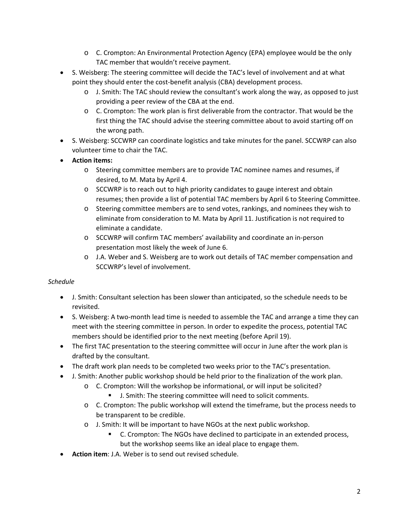- o C. Crompton: An Environmental Protection Agency (EPA) employee would be the only TAC member that wouldn't receive payment.
- S. Weisberg: The steering committee will decide the TAC's level of involvement and at what point they should enter the cost‐benefit analysis (CBA) development process.
	- o J. Smith: The TAC should review the consultant's work along the way, as opposed to just providing a peer review of the CBA at the end.
	- o C. Crompton: The work plan is first deliverable from the contractor. That would be the first thing the TAC should advise the steering committee about to avoid starting off on the wrong path.
- S. Weisberg: SCCWRP can coordinate logistics and take minutes for the panel. SCCWRP can also volunteer time to chair the TAC.
- **Action items:**
	- o Steering committee members are to provide TAC nominee names and resumes, if desired, to M. Mata by April 4.
	- o SCCWRP is to reach out to high priority candidates to gauge interest and obtain resumes; then provide a list of potential TAC members by April 6 to Steering Committee.
	- o Steering committee members are to send votes, rankings, and nominees they wish to eliminate from consideration to M. Mata by April 11. Justification is not required to eliminate a candidate.
	- o SCCWRP will confirm TAC members' availability and coordinate an in‐person presentation most likely the week of June 6.
	- o J.A. Weber and S. Weisberg are to work out details of TAC member compensation and SCCWRP's level of involvement.

### *Schedule*

- J. Smith: Consultant selection has been slower than anticipated, so the schedule needs to be revisited.
- S. Weisberg: A two-month lead time is needed to assemble the TAC and arrange a time they can meet with the steering committee in person. In order to expedite the process, potential TAC members should be identified prior to the next meeting (before April 19).
- The first TAC presentation to the steering committee will occur in June after the work plan is drafted by the consultant.
- The draft work plan needs to be completed two weeks prior to the TAC's presentation.
- J. Smith: Another public workshop should be held prior to the finalization of the work plan.
	- o C. Crompton: Will the workshop be informational, or will input be solicited?
		- J. Smith: The steering committee will need to solicit comments.
	- o C. Crompton: The public workshop will extend the timeframe, but the process needs to be transparent to be credible.
	- o J. Smith: It will be important to have NGOs at the next public workshop.
		- C. Crompton: The NGOs have declined to participate in an extended process, but the workshop seems like an ideal place to engage them.
- **Action item**: J.A. Weber is to send out revised schedule.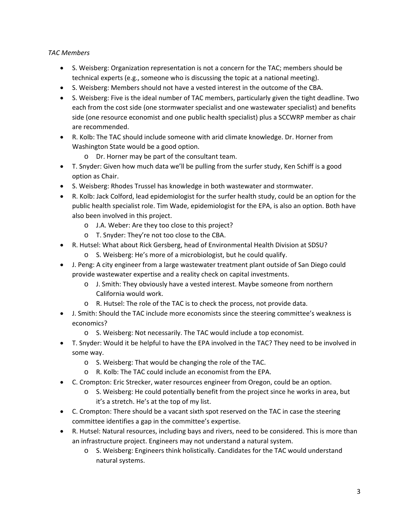# *TAC Members*

- S. Weisberg: Organization representation is not a concern for the TAC; members should be technical experts (e.g., someone who is discussing the topic at a national meeting).
- S. Weisberg: Members should not have a vested interest in the outcome of the CBA.
- S. Weisberg: Five is the ideal number of TAC members, particularly given the tight deadline. Two each from the cost side (one stormwater specialist and one wastewater specialist) and benefits side (one resource economist and one public health specialist) plus a SCCWRP member as chair are recommended.
- R. Kolb: The TAC should include someone with arid climate knowledge. Dr. Horner from Washington State would be a good option.
	- o Dr. Horner may be part of the consultant team.
- T. Snyder: Given how much data we'll be pulling from the surfer study, Ken Schiff is a good option as Chair.
- S. Weisberg: Rhodes Trussel has knowledge in both wastewater and stormwater.
- R. Kolb: Jack Colford, lead epidemiologist for the surfer health study, could be an option for the public health specialist role. Tim Wade, epidemiologist for the EPA, is also an option. Both have also been involved in this project.
	- o J.A. Weber: Are they too close to this project?
	- o T. Snyder: They're not too close to the CBA.
- R. Hutsel: What about Rick Gersberg, head of Environmental Health Division at SDSU?
	- o S. Weisberg: He's more of a microbiologist, but he could qualify.
- J. Peng: A city engineer from a large wastewater treatment plant outside of San Diego could provide wastewater expertise and a reality check on capital investments.
	- o J. Smith: They obviously have a vested interest. Maybe someone from northern California would work.
	- o R. Hutsel: The role of the TAC is to check the process, not provide data.
- J. Smith: Should the TAC include more economists since the steering committee's weakness is economics?
	- o S. Weisberg: Not necessarily. The TAC would include a top economist.
- T. Snyder: Would it be helpful to have the EPA involved in the TAC? They need to be involved in some way.
	- o S. Weisberg: That would be changing the role of the TAC.
	- o R. Kolb: The TAC could include an economist from the EPA.
- C. Crompton: Eric Strecker, water resources engineer from Oregon, could be an option.
	- o S. Weisberg: He could potentially benefit from the project since he works in area, but it's a stretch. He's at the top of my list.
- C. Crompton: There should be a vacant sixth spot reserved on the TAC in case the steering committee identifies a gap in the committee's expertise.
- R. Hutsel: Natural resources, including bays and rivers, need to be considered. This is more than an infrastructure project. Engineers may not understand a natural system.
	- o S. Weisberg: Engineers think holistically. Candidates for the TAC would understand natural systems.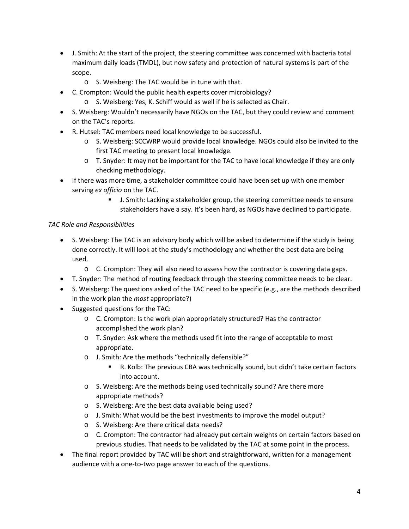- J. Smith: At the start of the project, the steering committee was concerned with bacteria total maximum daily loads (TMDL), but now safety and protection of natural systems is part of the scope.
	- o S. Weisberg: The TAC would be in tune with that.
- C. Crompton: Would the public health experts cover microbiology?
	- o S. Weisberg: Yes, K. Schiff would as well if he is selected as Chair.
- S. Weisberg: Wouldn't necessarily have NGOs on the TAC, but they could review and comment on the TAC's reports.
- R. Hutsel: TAC members need local knowledge to be successful.
	- o S. Weisberg: SCCWRP would provide local knowledge. NGOs could also be invited to the first TAC meeting to present local knowledge.
	- o T. Snyder: It may not be important for the TAC to have local knowledge if they are only checking methodology.
- If there was more time, a stakeholder committee could have been set up with one member serving *ex officio* on the TAC.
	- **J.** Smith: Lacking a stakeholder group, the steering committee needs to ensure stakeholders have a say. It's been hard, as NGOs have declined to participate.

# *TAC Role and Responsibilities*

- S. Weisberg: The TAC is an advisory body which will be asked to determine if the study is being done correctly. It will look at the study's methodology and whether the best data are being used.
	- o C. Crompton: They will also need to assess how the contractor is covering data gaps.
- T. Snyder: The method of routing feedback through the steering committee needs to be clear.
- S. Weisberg: The questions asked of the TAC need to be specific (e.g., are the methods described in the work plan the *most* appropriate?)
- Suggested questions for the TAC:
	- o C. Crompton: Is the work plan appropriately structured? Has the contractor accomplished the work plan?
	- o T. Snyder: Ask where the methods used fit into the range of acceptable to most appropriate.
	- o J. Smith: Are the methods "technically defensible?"
		- R. Kolb: The previous CBA was technically sound, but didn't take certain factors into account.
	- o S. Weisberg: Are the methods being used technically sound? Are there more appropriate methods?
	- o S. Weisberg: Are the best data available being used?
	- o J. Smith: What would be the best investments to improve the model output?
	- o S. Weisberg: Are there critical data needs?
	- o C. Crompton: The contractor had already put certain weights on certain factors based on previous studies. That needs to be validated by the TAC at some point in the process.
- The final report provided by TAC will be short and straightforward, written for a management audience with a one‐to‐two page answer to each of the questions.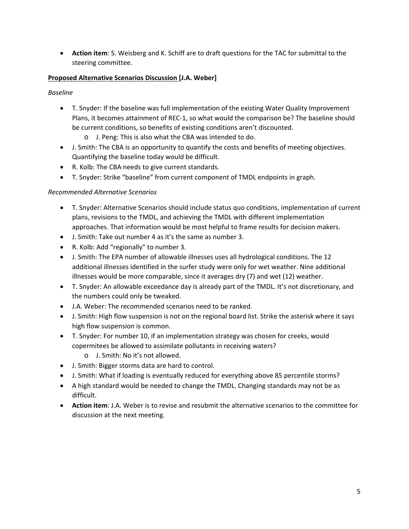**Action item**: S. Weisberg and K. Schiff are to draft questions for the TAC for submittal to the steering committee.

## **Proposed Alternative Scenarios Discussion [J.A. Weber]**

*Baseline*

- T. Snyder: If the baseline was full implementation of the existing Water Quality Improvement Plans, it becomes attainment of REC‐1, so what would the comparison be? The baseline should be current conditions, so benefits of existing conditions aren't discounted.
	- o J. Peng: This is also what the CBA was intended to do.
- J. Smith: The CBA is an opportunity to quantify the costs and benefits of meeting objectives. Quantifying the baseline today would be difficult.
- R. Kolb: The CBA needs to give current standards.
- T. Snyder: Strike "baseline" from current component of TMDL endpoints in graph.

# *Recommended Alternative Scenarios*

- T. Snyder: Alternative Scenarios should include status quo conditions, implementation of current plans, revisions to the TMDL, and achieving the TMDL with different implementation approaches. That information would be most helpful to frame results for decision makers.
- J. Smith: Take out number 4 as it's the same as number 3.
- R. Kolb: Add "regionally" to number 3.
- J. Smith: The EPA number of allowable illnesses uses all hydrological conditions. The 12 additional illnesses identified in the surfer study were only for wet weather. Nine additional illnesses would be more comparable, since it averages dry (7) and wet (12) weather.
- T. Snyder: An allowable exceedance day is already part of the TMDL. It's not discretionary, and the numbers could only be tweaked.
- J.A. Weber: The recommended scenarios need to be ranked.
- J. Smith: High flow suspension is not on the regional board list. Strike the asterisk where it says high flow suspension is common.
- T. Snyder: For number 10, if an implementation strategy was chosen for creeks, would copermitees be allowed to assimilate pollutants in receiving waters?
	- o J. Smith: No it's not allowed.
- J. Smith: Bigger storms data are hard to control.
- J. Smith: What if loading is eventually reduced for everything above 85 percentile storms?
- A high standard would be needed to change the TMDL. Changing standards may not be as difficult.
- **Action item**: J.A. Weber is to revise and resubmit the alternative scenarios to the committee for discussion at the next meeting.